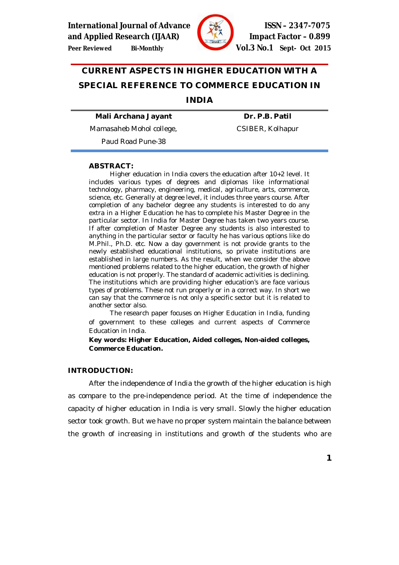**International Journal of Advance**  $\sqrt{36}$  **Section 15SN – 2347-7075** 



**and Applied Research (IJAAR) Impact Factor – 0.899 Peer Reviewed Bi-Monthly Vol.3 No.1 Sept- Oct 2015**

# **CURRENT ASPECTS IN HIGHER EDUCATION WITH A SPECIAL REFERENCE TO COMMERCE EDUCATION IN**

# **INDIA**

**Mali Archana Jayant**

**Dr. P.B. Patil**

Mamasaheb Mohol college,

CSIBER, Kolhapur

Paud Road Pune-38

#### **ABSTRACT:**

Higher education in India covers the education after 10+2 level. It includes various types of degrees and diplomas like informational technology, pharmacy, engineering, medical, agriculture, arts, commerce, science, etc. Generally at degree level, it includes three years course. After completion of any bachelor degree any students is interested to do any extra in a Higher Education he has to complete his Master Degree in the particular sector. In India for Master Degree has taken two years course. If after completion of Master Degree any students is also interested to anything in the particular sector or faculty he has various options like do M.Phil., Ph.D. etc. Now a day government is not provide grants to the newly established educational institutions, so private institutions are established in large numbers. As the result, when we consider the above mentioned problems related to the higher education, the growth of higher education is not properly. The standard of academic activities is declining. The institutions which are providing higher education's are face various types of problems. These not run properly or in a correct way. In short we can say that the commerce is not only a specific sector but it is related to another sector also.

The research paper focuses on Higher Education in India, funding of government to these colleges and current aspects of Commerce Education in India.

**Key words: Higher Education, Aided colleges, Non-aided colleges, Commerce Education.**

### **INTRODUCTION:**

After the independence of India the growth of the higher education is high as compare to the pre-independence period. At the time of independence the capacity of higher education in India is very small. Slowly the higher education sector took growth. But we have no proper system maintain the balance between the growth of increasing in institutions and growth of the students who are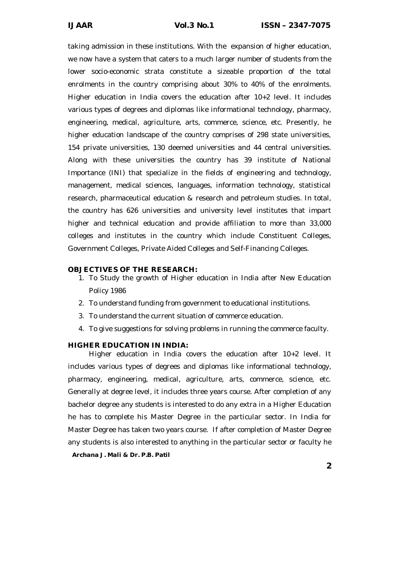taking admission in these institutions. With the expansion of higher education, we now have a system that caters to a much larger number of students from the lower socio-economic strata constitute a sizeable proportion of the total enrolments in the country comprising about 30% to 40% of the enrolments. Higher education in India covers the education after 10+2 level. It includes various types of degrees and diplomas like informational technology, pharmacy, engineering, medical, agriculture, arts, commerce, science, etc. Presently, he higher education landscape of the country comprises of 298 state universities, 154 private universities, 130 deemed universities and 44 central universities. Along with these universities the country has 39 institute of National Importance (INI) that specialize in the fields of engineering and technology, management, medical sciences, languages, information technology, statistical research, pharmaceutical education & research and petroleum studies. In total, the country has 626 universities and university level institutes that impart higher and technical education and provide affiliation to more than 33,000 colleges and institutes in the country which include Constituent Colleges, Government Colleges, Private Aided Colleges and Self-Financing Colleges.

#### **OBJECTIVES OF THE RESEARCH:**

- 1. To Study the growth of Higher education in India after New Education Policy 1986
- 2. To understand funding from government to educational institutions.
- 3. To understand the current situation of commerce education.
- 4. To give suggestions for solving problems in running the commerce faculty.

#### **HIGHER EDUCATION IN INDIA:**

*Archana J. Mali & Dr. P.B. Patil* Higher education in India covers the education after 10+2 level. It includes various types of degrees and diplomas like informational technology, pharmacy, engineering, medical, agriculture, arts, commerce, science, etc. Generally at degree level, it includes three years course. After completion of any bachelor degree any students is interested to do any extra in a Higher Education he has to complete his Master Degree in the particular sector. In India for Master Degree has taken two years course. If after completion of Master Degree any students is also interested to anything in the particular sector or faculty he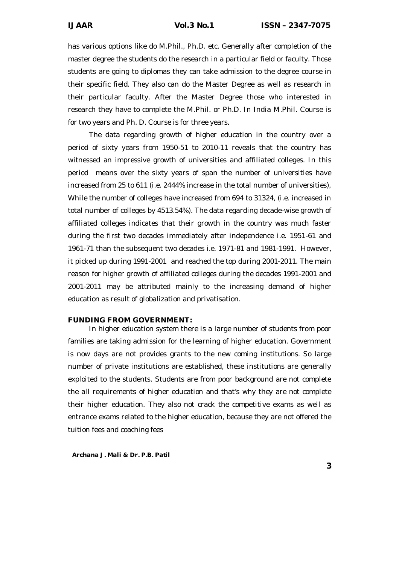has various options like do M.Phil., Ph.D. etc. Generally after completion of the master degree the students do the research in a particular field or faculty. Those students are going to diplomas they can take admission to the degree course in their specific field. They also can do the Master Degree as well as research in their particular faculty. After the Master Degree those who interested in research they have to complete the M.Phil. or Ph.D. In India M.Phil. Course is for two years and Ph. D. Course is for three years.

The data regarding growth of higher education in the country over a period of sixty years from 1950-51 to 2010-11 reveals that the country has witnessed an impressive growth of universities and affiliated colleges. In this period means over the sixty years of span the number of universities have increased from 25 to 611 (i.e. 2444% increase in the total number of universities), While the number of colleges have increased from 694 to 31324, (i.e. increased in total number of colleges by 4513.54%). The data regarding decade-wise growth of affiliated colleges indicates that their growth in the country was much faster during the first two decades immediately after independence i.e. 1951-61 and 1961-71 than the subsequent two decades i.e. 1971-81 and 1981-1991. However, it picked up during 1991-2001 and reached the top during 2001-2011. The main reason for higher growth of affiliated colleges during the decades 1991-2001 and 2001-2011 may be attributed mainly to the increasing demand of higher education as result of globalization and privatisation.

#### **FUNDING FROM GOVERNMENT:**

In higher education system there is a large number of students from poor families are taking admission for the learning of higher education. Government is now days are not provides grants to the new coming institutions. So large number of private institutions are established, these institutions are generally exploited to the students. Students are from poor background are not complete the all requirements of higher education and that's why they are not complete their higher education. They also not crack the competitive exams as well as entrance exams related to the higher education, because they are not offered the tuition fees and coaching fees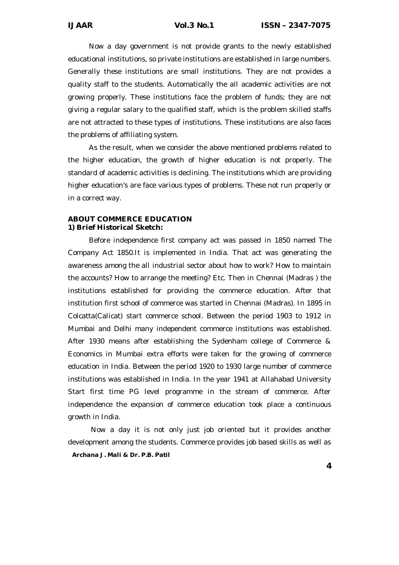Now a day government is not provide grants to the newly established educational institutions, so private institutions are established in large numbers. Generally these institutions are small institutions. They are not provides a quality staff to the students. Automatically the all academic activities are not growing properly. These institutions face the problem of funds; they are not giving a regular salary to the qualified staff, which is the problem skilled staffs are not attracted to these types of institutions. These institutions are also faces the problems of affiliating system.

As the result, when we consider the above mentioned problems related to the higher education, the growth of higher education is not properly. The standard of academic activities is declining. The institutions which are providing higher education's are face various types of problems. These not run properly or in a correct way.

## *ABOUT COMMERCE EDUCATION* **1) Brief Historical Sketch:**

Before independence first company act was passed in 1850 named The Company Act 1850.It is implemented in India. That act was generating the awareness among the all industrial sector about how to work? How to maintain the accounts? How to arrange the meeting? Etc. Then in Chennai (Madras ) the institutions established for providing the commerce education. After that institution first school of commerce was started in Chennai (Madras). In 1895 in Colcatta(Calicat) start commerce school. Between the period 1903 to 1912 in Mumbai and Delhi many independent commerce institutions was established. After 1930 means after establishing the Sydenham college of Commerce & Economics in Mumbai extra efforts were taken for the growing of commerce education in India. Between the period 1920 to 1930 large number of commerce institutions was established in India. In the year 1941 at Allahabad University Start first time PG level programme in the stream of commerce. After independence the expansion of commerce education took place a continuous growth in India.

*Archana J. Mali & Dr. P.B. Patil* Now a day it is not only just job oriented but it provides another development among the students. Commerce provides job based skills as well as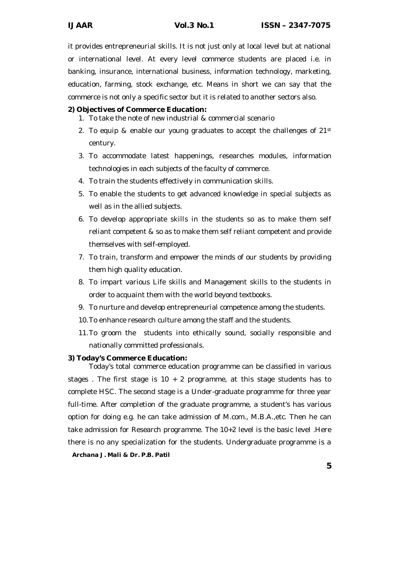it provides entrepreneurial skills. It is not just only at local level but at national or international level. At every level commerce students are placed i.e. in banking, insurance, international business, information technology, marketing, education, farming, stock exchange, etc. Means in short we can say that the commerce is not only a specific sector but it is related to another sectors also.

# **2) Objectives of Commerce Education:**

- 1. To take the note of new industrial & commercial scenario
- 2. To equip & enable our young graduates to accept the challenges of 21st century.
- 3. To accommodate latest happenings, researches modules, information technologies in each subjects of the faculty of commerce.
- 4. To train the students effectively in communication skills.
- 5. To enable the students to get advanced knowledge in special subjects as well as in the allied subjects.
- 6. To develop appropriate skills in the students so as to make them self reliant competent & so as to make them self reliant competent and provide themselves with self-employed.
- 7. To train, transform and empower the minds of our students by providing them high quality education.
- 8. To impart various Life skills and Management skills to the students in order to acquaint them with the world beyond textbooks.
- 9. To nurture and develop entrepreneurial competence among the students.
- 10.To enhance research culture among the staff and the students.
- 11.To groom the students into ethically sound, socially responsible and nationally committed professionals.

### **3) Today's Commerce Education:**

*Archana J. Mali & Dr. P.B. Patil* Today's total commerce education programme can be classified in various stages. The first stage is  $10 + 2$  programme, at this stage students has to complete HSC. The second stage is a Under-graduate programme for three year full-time. After completion of the graduate programme, a student's has various option for doing e.g. he can take admission of M.com., M.B.A.,etc. Then he can take admission for Research programme. The 10+2 level is the basic level .Here there is no any specialization for the students. Undergraduate programme is a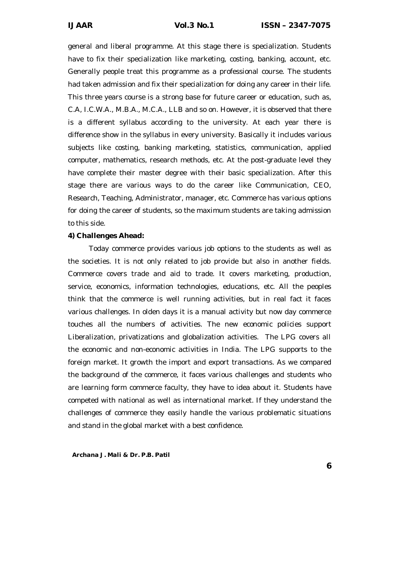general and liberal programme. At this stage there is specialization. Students have to fix their specialization like marketing, costing, banking, account, etc. Generally people treat this programme as a professional course. The students had taken admission and fix their specialization for doing any career in their life. This three years course is a strong base for future career or education, such as, C.A, I.C.W.A., M.B.A., M.C.A., LLB and so on. However, it is observed that there is a different syllabus according to the university. At each year there is difference show in the syllabus in every university. Basically it includes various subjects like costing, banking marketing, statistics, communication, applied computer, mathematics, research methods, etc. At the post-graduate level they have complete their master degree with their basic specialization. After this stage there are various ways to do the career like Communication, CEO, Research, Teaching, Administrator, manager, etc. Commerce has various options for doing the career of students, so the maximum students are taking admission to this side.

#### **4) Challenges Ahead:**

Today commerce provides various job options to the students as well as the societies. It is not only related to job provide but also in another fields. Commerce covers trade and aid to trade. It covers marketing, production, service, economics, information technologies, educations, etc. All the peoples think that the commerce is well running activities, but in real fact it faces various challenges. In olden days it is a manual activity but now day commerce touches all the numbers of activities. The new economic policies support Liberalization, privatizations and globalization activities. The LPG covers all the economic and non-economic activities in India. The LPG supports to the foreign market. It growth the import and export transactions. As we compared the background of the commerce, it faces various challenges and students who are learning form commerce faculty, they have to idea about it. Students have competed with national as well as international market. If they understand the challenges of commerce they easily handle the various problematic situations and stand in the global market with a best confidence.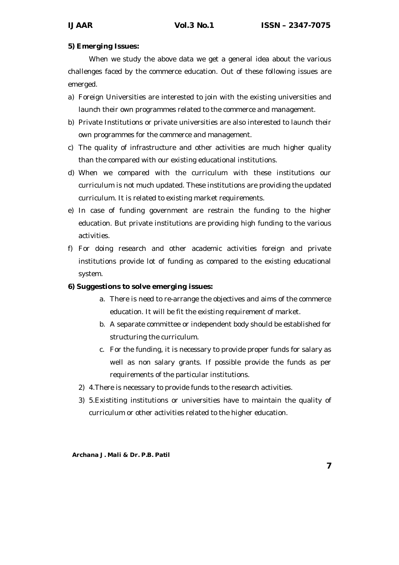# **5) Emerging Issues:**

When we study the above data we get a general idea about the various challenges faced by the commerce education. Out of these following issues are emerged.

- a) Foreign Universities are interested to join with the existing universities and launch their own programmes related to the commerce and management.
- b) Private Institutions or private universities are also interested to launch their own programmes for the commerce and management.
- c) The quality of infrastructure and other activities are much higher quality than the compared with our existing educational institutions.
- d) When we compared with the curriculum with these institutions our curriculum is not much updated. These institutions are providing the updated curriculum. It is related to existing market requirements.
- e) In case of funding government are restrain the funding to the higher education. But private institutions are providing high funding to the various activities.
- f) For doing research and other academic activities foreign and private institutions provide lot of funding as compared to the existing educational system.

# **6) Suggestions to solve emerging issues:**

- a. There is need to re-arrange the objectives and aims of the commerce education. It will be fit the existing requirement of market.
- b. A separate committee or independent body should be established for structuring the curriculum.
- c. For the funding, it is necessary to provide proper funds for salary as well as non salary grants. If possible provide the funds as per requirements of the particular institutions.
- 2) 4.There is necessary to provide funds to the research activities.
- 3) 5.Existiting institutions or universities have to maintain the quality of curriculum or other activities related to the higher education.